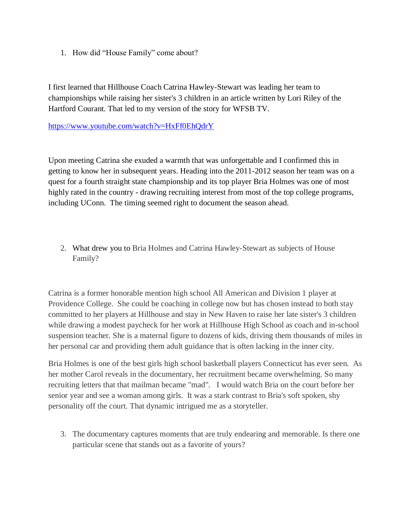1. How did "House Family" come about?

I first learned that Hillhouse Coach Catrina Hawley-Stewart was leading her team to championships while raising her sister's 3 children in an article written by Lori Riley of the Hartford Courant. That led to my version of the story for WFSB TV.

<https://www.youtube.com/watch?v=HxFf0EhQdrY>

Upon meeting Catrina she exuded a warmth that was unforgettable and I confirmed this in getting to know her in subsequent years. Heading into the 2011-2012 season her team was on a quest for a fourth straight state championship and its top player Bria Holmes was one of most highly rated in the country - drawing recruiting interest from most of the top college programs, including UConn. The timing seemed right to document the season ahead.

2. What drew you to Bria Holmes and Catrina Hawley-Stewart as subjects of House Family?

Catrina is a former honorable mention high school All American and Division 1 player at Providence College. She could be coaching in college now but has chosen instead to both stay committed to her players at Hillhouse and stay in New Haven to raise her late sister's 3 children while drawing a modest paycheck for her work at Hillhouse High School as coach and in-school suspension teacher. She is a maternal figure to dozens of kids, driving them thousands of miles in her personal car and providing them adult guidance that is often lacking in the inner city.

Bria Holmes is one of the best girls high school basketball players Connecticut has ever seen. As her mother Carol reveals in the documentary, her recruitment became overwhelming. So many recruiting letters that that mailman became "mad". I would watch Bria on the court before her senior year and see a woman among girls. It was a stark contrast to Bria's soft spoken, shy personality off the court. That dynamic intrigued me as a storyteller.

3. The documentary captures moments that are truly endearing and memorable. Is there one particular scene that stands out as a favorite of yours?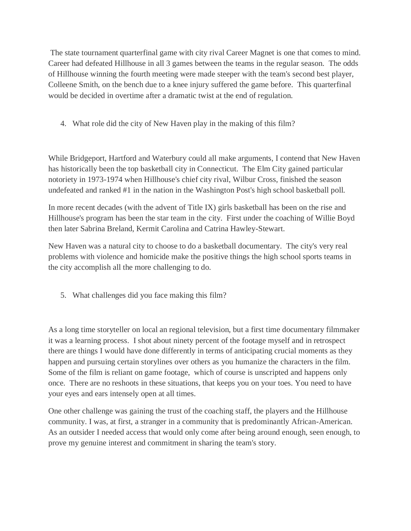The state tournament quarterfinal game with city rival Career Magnet is one that comes to mind. Career had defeated Hillhouse in all 3 games between the teams in the regular season. The odds of Hillhouse winning the fourth meeting were made steeper with the team's second best player, Colleene Smith, on the bench due to a knee injury suffered the game before. This quarterfinal would be decided in overtime after a dramatic twist at the end of regulation.

4. What role did the city of New Haven play in the making of this film?

While Bridgeport, Hartford and Waterbury could all make arguments, I contend that New Haven has historically been the top basketball city in Connecticut. The Elm City gained particular notoriety in 1973-1974 when Hillhouse's chief city rival, Wilbur Cross, finished the season undefeated and ranked #1 in the nation in the Washington Post's high school basketball poll.

In more recent decades (with the advent of Title IX) girls basketball has been on the rise and Hillhouse's program has been the star team in the city. First under the coaching of Willie Boyd then later Sabrina Breland, Kermit Carolina and Catrina Hawley-Stewart.

New Haven was a natural city to choose to do a basketball documentary. The city's very real problems with violence and homicide make the positive things the high school sports teams in the city accomplish all the more challenging to do.

5. What challenges did you face making this film?

As a long time storyteller on local an regional television, but a first time documentary filmmaker it was a learning process. I shot about ninety percent of the footage myself and in retrospect there are things I would have done differently in terms of anticipating crucial moments as they happen and pursuing certain storylines over others as you humanize the characters in the film. Some of the film is reliant on game footage, which of course is unscripted and happens only once. There are no reshoots in these situations, that keeps you on your toes. You need to have your eyes and ears intensely open at all times.

One other challenge was gaining the trust of the coaching staff, the players and the Hillhouse community. I was, at first, a stranger in a community that is predominantly African-American. As an outsider I needed access that would only come after being around enough, seen enough, to prove my genuine interest and commitment in sharing the team's story.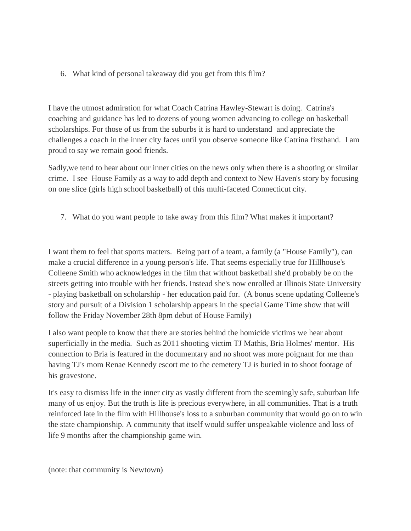6. What kind of personal takeaway did you get from this film?

I have the utmost admiration for what Coach Catrina Hawley-Stewart is doing. Catrina's coaching and guidance has led to dozens of young women advancing to college on basketball scholarships. For those of us from the suburbs it is hard to understand and appreciate the challenges a coach in the inner city faces until you observe someone like Catrina firsthand. I am proud to say we remain good friends.

Sadly,we tend to hear about our inner cities on the news only when there is a shooting or similar crime. I see House Family as a way to add depth and context to New Haven's story by focusing on one slice (girls high school basketball) of this multi-faceted Connecticut city.

7. What do you want people to take away from this film? What makes it important?

I want them to feel that sports matters. Being part of a team, a family (a "House Family"), can make a crucial difference in a young person's life. That seems especially true for Hillhouse's Colleene Smith who acknowledges in the film that without basketball she'd probably be on the streets getting into trouble with her friends. Instead she's now enrolled at Illinois State University - playing basketball on scholarship - her education paid for. (A bonus scene updating Colleene's story and pursuit of a Division 1 scholarship appears in the special Game Time show that will follow the Friday November 28th 8pm debut of House Family)

I also want people to know that there are stories behind the homicide victims we hear about superficially in the media. Such as 2011 shooting victim TJ Mathis, Bria Holmes' mentor. His connection to Bria is featured in the documentary and no shoot was more poignant for me than having TJ's mom Renae Kennedy escort me to the cemetery TJ is buried in to shoot footage of his gravestone.

It's easy to dismiss life in the inner city as vastly different from the seemingly safe, suburban life many of us enjoy. But the truth is life is precious everywhere, in all communities. That is a truth reinforced late in the film with Hillhouse's loss to a suburban community that would go on to win the state championship. A community that itself would suffer unspeakable violence and loss of life 9 months after the championship game win.

(note: that community is Newtown)